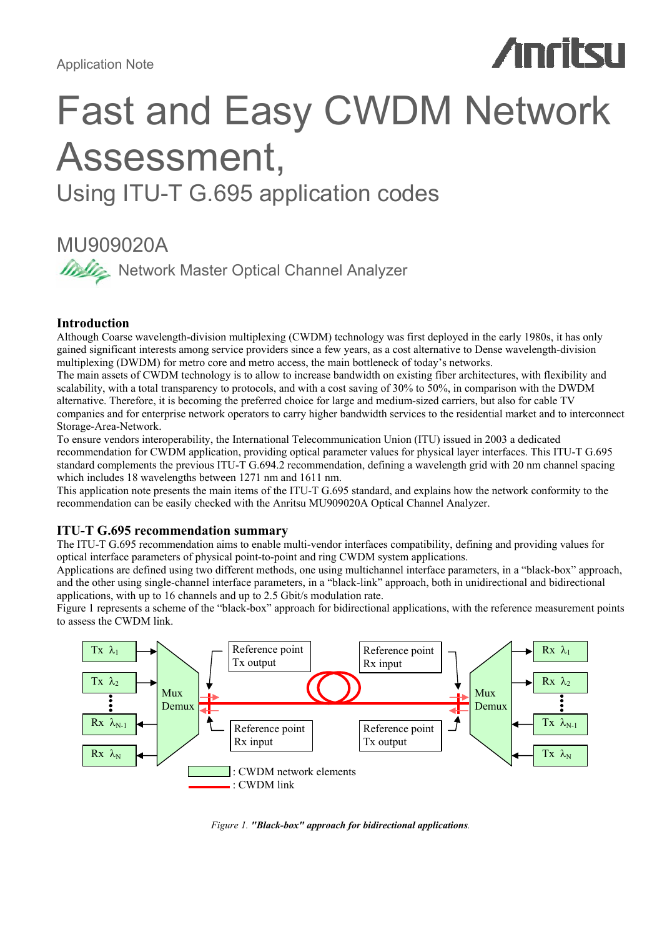# **Anritsu**

# Fast and Easy CWDM Network Assessment, Using ITU-T G.695 application codes

# MU909020A

**Master Optical Channel Analyzer** 

# **Introduction**

Although Coarse wavelength-division multiplexing (CWDM) technology was first deployed in the early 1980s, it has only gained significant interests among service providers since a few years, as a cost alternative to Dense wavelength-division multiplexing (DWDM) for metro core and metro access, the main bottleneck of today's networks.

The main assets of CWDM technology is to allow to increase bandwidth on existing fiber architectures, with flexibility and scalability, with a total transparency to protocols, and with a cost saving of 30% to 50%, in comparison with the DWDM alternative. Therefore, it is becoming the preferred choice for large and medium-sized carriers, but also for cable TV companies and for enterprise network operators to carry higher bandwidth services to the residential market and to interconnect Storage-Area-Network.

To ensure vendors interoperability, the International Telecommunication Union (ITU) issued in 2003 a dedicated recommendation for CWDM application, providing optical parameter values for physical layer interfaces. This ITU-T G.695 standard complements the previous ITU-T G.694.2 recommendation, defining a wavelength grid with 20 nm channel spacing which includes 18 wavelengths between 1271 nm and 1611 nm.

This application note presents the main items of the ITU-T G.695 standard, and explains how the network conformity to the recommendation can be easily checked with the Anritsu MU909020A Optical Channel Analyzer.

# **ITU-T G.695 recommendation summary**

The ITU-T G.695 recommendation aims to enable multi-vendor interfaces compatibility, defining and providing values for optical interface parameters of physical point-to-point and ring CWDM system applications.

Applications are defined using two different methods, one using multichannel interface parameters, in a "black-box" approach, and the other using single-channel interface parameters, in a "black-link" approach, both in unidirectional and bidirectional applications, with up to 16 channels and up to 2.5 Gbit/s modulation rate.

Figure 1 represents a scheme of the "black-box" approach for bidirectional applications, with the reference measurement points to assess the CWDM link.



*Figure 1. "Black-box" approach for bidirectional applications.*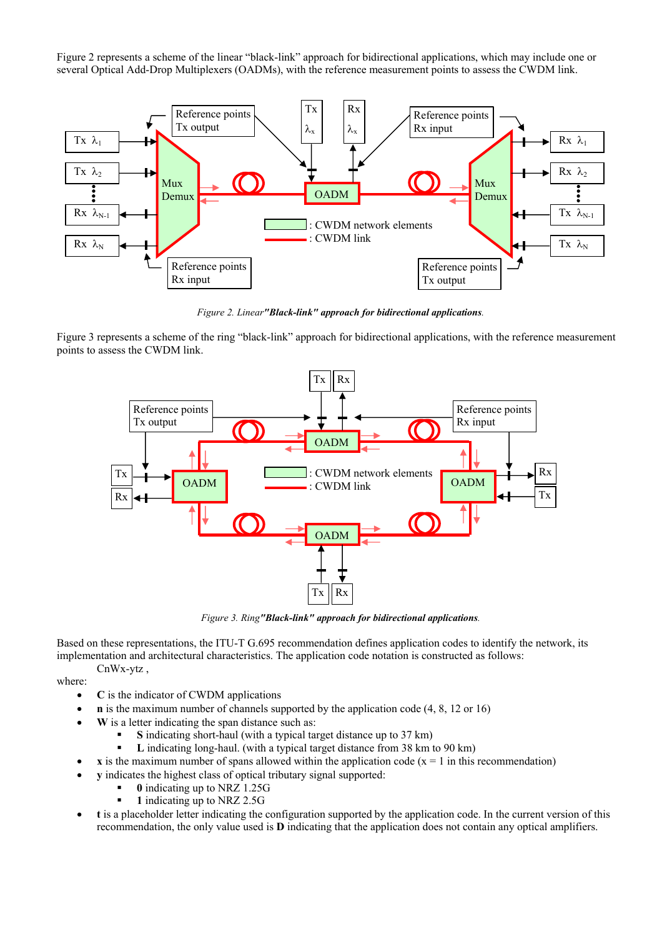Figure 2 represents a scheme of the linear "black-link" approach for bidirectional applications, which may include one or several Optical Add-Drop Multiplexers (OADMs), with the reference measurement points to assess the CWDM link.



*Figure 2. Linear"Black-link" approach for bidirectional applications.* 

Figure 3 represents a scheme of the ring "black-link" approach for bidirectional applications, with the reference measurement points to assess the CWDM link.



*Figure 3. Ring"Black-link" approach for bidirectional applications.* 

Based on these representations, the ITU-T G.695 recommendation defines application codes to identify the network, its implementation and architectural characteristics. The application code notation is constructed as follows: CnWx-ytz ,

where:

- **C** is the indicator of CWDM applications
- **n** is the maximum number of channels supported by the application code (4, 8, 12 or 16)
- **W** is a letter indicating the span distance such as:
	- **S** indicating short-haul (with a typical target distance up to 37 km)
	- **L** indicating long-haul. (with a typical target distance from 38 km to 90 km)
	- $\bf{x}$  is the maximum number of spans allowed within the application code ( $\bf{x}$  = 1 in this recommendation)
- **y** indicates the highest class of optical tributary signal supported:
	- **0** indicating up to NRZ 1.25G
	- **1** indicating up to NRZ 2.5G
- **t** is a placeholder letter indicating the configuration supported by the application code. In the current version of this recommendation, the only value used is **D** indicating that the application does not contain any optical amplifiers.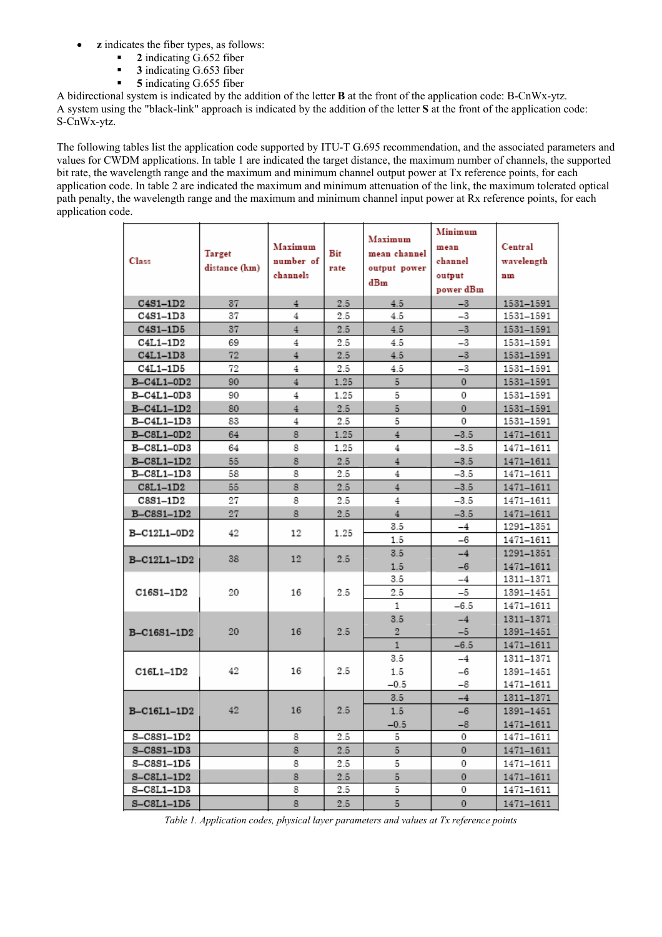- **z** indicates the fiber types, as follows:
	- **2** indicating G.652 fiber
	- **3** indicating G.653 fiber
	- **5** indicating G.655 fiber

A bidirectional system is indicated by the addition of the letter **B** at the front of the application code: B-CnWx-ytz. A system using the "black-link" approach is indicated by the addition of the letter **S** at the front of the application code: S-CnWx-ytz.

The following tables list the application code supported by ITU-T G.695 recommendation, and the associated parameters and values for CWDM applications. In table 1 are indicated the target distance, the maximum number of channels, the supported bit rate, the wavelength range and the maximum and minimum channel output power at Tx reference points, for each application code. In table 2 are indicated the maximum and minimum attenuation of the link, the maximum tolerated optical path penalty, the wavelength range and the maximum and minimum channel input power at Rx reference points, for each application code.

|                   |               |                |         |                | Minimum   |               |  |
|-------------------|---------------|----------------|---------|----------------|-----------|---------------|--|
| Class             |               | Maximum        |         | Maximum        | mean      | Central       |  |
|                   | Target        | number of      | Bit     | mean channel   | channel   | wavelength    |  |
|                   | distance (km) | channels       | rate    | output power   | output    | nm            |  |
|                   |               |                |         | dBm            | power dBm |               |  |
| $C4S1-1D2$        | 37            | $\overline{4}$ | 2.5     | 4.5            | $-3$      | 1531-1591     |  |
| C4S1-1D3          | 37            | $\overline{4}$ | 2.5     | 4.5            | $-3$      | 1531-1591     |  |
| $C4S1-1D5$        | 37            | $\overline{4}$ | 2.5     | 4.5            | $-3$      | 1531-1591     |  |
| C4L1-1D2          | 69            | $\overline{4}$ | 2.5     | 4.5            | -3        | 1531-1591     |  |
| $C4L1-1D3$        | 72            | $\overline{4}$ | $2.5\,$ | 4.5            | $-3$      | 1531-1591     |  |
| C4L1-1D5          | 72            | 4              | 2.5     | 4.5            | -3        | 1531-1591     |  |
| B-C4L1-0D2        | 90            | $\overline{4}$ | 1.25    | 5              | $\circ$   | 1531-1591     |  |
| B-C4L1-0D3        | 90            | 4              | 1.25    | 5              | 0         | 1531-1591     |  |
| $B-C4L1-1D2$      | 80            | $\overline{4}$ | 2.5     | 5              | 0         | 1531-1591     |  |
| B-C4L1-1D3        | 83            | 4              | 2.5     | 5              | 0         | 1531-1591     |  |
| B-C8L1-0D2        | 64            | 8              | 1.25    | $4^{\circ}$    | $-3.5$    | 1471-1611     |  |
| B-C8L1-0D3        | 64            | 8              | 1.25    | 4              | $-3.5$    | 1471-1611     |  |
| B-C8L1-1D2        | 55            | 8              | 2.5     | $\overline{4}$ | $-3.5$    | 1471-1611     |  |
| B-C8L1-1D3        | 58            | 8              | 2.5     | 4              | $-3.5$    | 1471-1611     |  |
| $C8L1-1D2$        | 55            | 8              | 2.5     | $\overline{4}$ | $-3.5$    | 1471-1611     |  |
| $CSS1-1D2$        | 27            | 8              | 2.5     | $\overline{4}$ | $-3.5$    | 1471-1611     |  |
| <b>B-C8S1-1D2</b> | 27            | 8              | 2.5     | $4^{\circ}$    | $-3.5$    | 1471-1611     |  |
|                   | 42            | 12             |         | 3.5            | $-4$      | 1291-1351     |  |
| B-C12L1-0D2       |               |                | 1.25    | 1.5            | -6        | 1471-1611     |  |
|                   | 38            | 12             | 2.5     | 3.5            | $-4$      | 1291-1351     |  |
| B-C12L1-1D2       |               |                |         | 1.5            | $-6$      | 1471-1611     |  |
|                   |               |                |         | 3.5            | -4        | 1311-1371     |  |
| C16S1-1D2         | 20            | 16             | 2.5     | 2.5            | $-5$      | 1391-1451     |  |
|                   |               |                |         | 1              | $-6.5$    | 1471-1611     |  |
|                   |               |                |         | 3.5            | $-4$      | 1311-1371     |  |
| B-C16S1-1D2       | 20            | 16             | 2.5     | $\overline{2}$ | -5        | 1391-1451     |  |
|                   |               |                |         | $\mathbf{1}$   | $-6.5$    | 1471-1611     |  |
|                   |               |                |         | 3.5            | $-4$      | 1311-1371     |  |
| C16L1-1D2         | 42            | 16             | 2.5     | 1.5            | -6        | 1391-1451     |  |
|                   |               |                |         | $-0.5$         | -8        | 1471-1611     |  |
|                   |               |                |         | 3.5            | $^{-4}$   | 1311-1371     |  |
| B-C16L1-1D2       | 42            | 16             | 2.5     | $1.5\,$        | $-6$      | 1391-1451     |  |
|                   |               |                |         | $-0.5$         | $-8$      | $1471 - 1611$ |  |
| S-C8S1-1D2        |               | 8              | 2.5     | 5              | 0         | 1471-1611     |  |
| $S - C8S1 - 1D3$  |               | 8              | 2.5     | 5              | 0         | 1471-1611     |  |
| S-C8S1-1D5        |               | 8              | 2.5     | 5              | 0         | 1471-1611     |  |
| $S-CSL1-1D2$      |               | 8              | 2.5     | 5              | 0         | 1471-1611     |  |
| S-C8L1-1D3        |               | 8              | 2.5     | 5              | 0         | 1471-1611     |  |
| $S-CSL1-1D5$      |               | 8              | 2.5     | 5              | 0         | 1471-1611     |  |

*Table 1. Application codes, physical layer parameters and values at Tx reference points*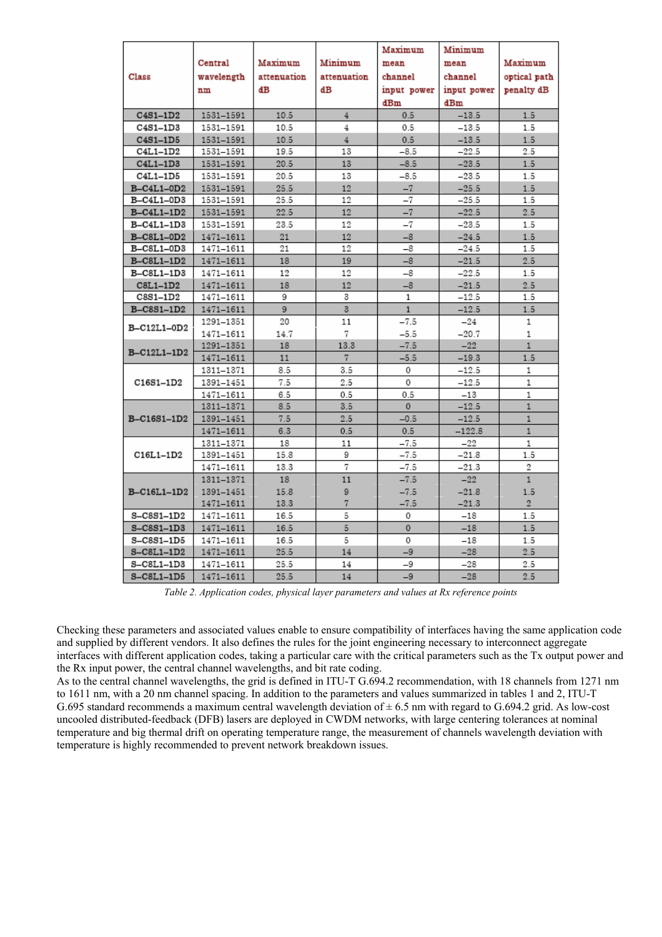|                   |               |             |                | Maximum      | Minimum     |                |  |
|-------------------|---------------|-------------|----------------|--------------|-------------|----------------|--|
|                   | Central       | Maximum     | Minimum        | mean         | mean        | Maximum        |  |
| Class             | wavelength    | attenuation | attenuation    | channel      | channel     | optical path   |  |
|                   | nm            | dВ          | dВ             | input power  | input power | penalty dB     |  |
|                   |               |             |                | dBm          | dBm         |                |  |
| $C4S1-1D2$        | 1531-1591     | 10.5        | 4              | 0.5          | $-13.5$     | 1.5            |  |
| C4S1-1D3          | 1531-1591     | 10.5        | 4              | 0.5          | $-13.5$     | 1.5            |  |
| $C4S1-1D5$        | 1531-1591     | 10.5        | $\overline{4}$ | 0.5          | $-13.5$     | 1.5            |  |
| C4L1-1D2          | 1531-1591     | 19.5        | 13             | $-8.5$       | $-22.5$     | 2.5            |  |
| C4L1-1D3          | 1531-1591     | 20.5        | 13             | $-8.5$       | $-23.5$     | 1.5            |  |
| C4L1-1D5          | 1531-1591     | 20.5        | 13             | $-8.5$       | $-23.5$     | 1.5            |  |
| B-C4L1-0D2        | 1531-1591     | 25.5        | 12             | $-7$         | $-25.5$     | 1.5            |  |
| B-C4L1-0D3        | 1531-1591     | 25.5        | 12             | -7           | $-25.5$     | 1.5            |  |
| B-C4L1-1D2        | 1531-1591     | 22.5        | 12             | $-7$         | $-22.5$     | 2.5            |  |
| B-C4L1-1D3        | 1531-1591     | 23.5        | 12             | $-7$         | $-23.5$     | 1.5            |  |
| B-C8L1-0D2        | 1471-1611     | 21          | 12             | $-8$         | $-24.5$     | 1.5            |  |
| B-C8L1-0D3        | 1471-1611     | 21          | 12             | -8           | $-24.5$     | 1.5            |  |
| $B - C8L1 - 1D2$  | 1471-1611     | 18          | 19             | $-8$         | $-21.5$     | 2.5            |  |
| B-C8L1-1D3        | 1471-1611     | 12          | 12             | $-8$         | $-22.5$     | 1.5            |  |
| $C8L1-1D2$        | 1471-1611     | 18          | 12             | $-8$         | $-21.5$     | 2.5            |  |
| $CSS1-1D2$        | 1471-1611     | 9           | 3              | $\mathbf{1}$ | $-12.5$     | 1.5            |  |
| <b>B-C8S1-1D2</b> | 1471-1611     | 9           | $\overline{3}$ | $\mathbf{1}$ | $-12.5$     | 1.5            |  |
| B-C12L1-0D2       | 1291-1351     | 20          | 11             | $-7.5$       | -24         | 1              |  |
|                   | 1471-1611     | 14.7        | 7              | $-5.5$       | $-20.7$     | $\mathbf{1}$   |  |
| B-C12L1-1D2       | 1291-1351     | 18          | 13.3           | $-7.5$       | $-22$       | $\mathbf{1}$   |  |
|                   | 1471-1611     | 11          | 7              | $-5.5$       | $-19.3$     | 1.5            |  |
|                   | 1311-1371     | 8.5         | 3.5            | 0            | $-12.5$     | 1              |  |
| C16S1-1D2         | 1391-1451     | 7.5         | 2.5            | 0            | $-12.5$     | 1              |  |
|                   | 1471-1611     | 6.5         | 0.5            | 0.5          | $-13$       | 1              |  |
|                   | 1311-1371     | 8.5         | 3.5            | $\Omega$     | $-12.5$     | $\mathbf{1}$   |  |
| B-C16S1-1D2       | 1391-1451     | 7.5         | 2.5            | $-0.5$       | $-12.5$     | $\mathbf{1}$   |  |
|                   | $1471 - 1611$ | 6.3         | 0.5            | 0.5          | $-122.8$    | $\mathbf{1}$   |  |
|                   | 1311-1371     | 18          | 11             | $-7.5$       | $-22$       | 1              |  |
| C16L1-1D2         | 1391-1451     | 15.8        | 9              | $-7.5$       | $-21.8$     | 1.5            |  |
|                   | 1471-1611     | 13.3        | 7              | $-7.5$       | $-21.3$     | 2              |  |
|                   | 1311-1371     | 18          | 11             | $-7.5$       | $-22$       | $\mathbf{1}$   |  |
| B-C16L1-1D2       | 1391-1451     | 15.8        | 9              | $-7.5$       | $-21.8$     | 1.5            |  |
|                   | 1471-1611     | 13.3        | 7              | $-7.5$       | $-21.3$     | $\overline{2}$ |  |
| S-C8S1-1D2        | 1471-1611     | 16.5        | 5              | 0            | $-18$       | 1.5            |  |
| $S-CSS1-1D3$      | 1471-1611     | 16.5        | 5              | 0            | $-18$       | 1.5            |  |
| S-C8S1-1D5        | 1471-1611     | 16.5        | 5              | 0            | $^{-18}$    | 1.5            |  |
| S-C8L1-1D2        | 1471-1611     | 25.5        | 14             | $-9$         | $-28$       | $2.5\,$        |  |
| S-C8L1-1D3        | 1471-1611     | 25.5        | 14             | $-9$         | $-28$       | 2.5            |  |
| $S-CSL1-1D5$      | 1471-1611     | 25.5        | 14             | $-9$         | $-28$       | 2.5            |  |

*Table 2. Application codes, physical layer parameters and values at Rx reference points* 

Checking these parameters and associated values enable to ensure compatibility of interfaces having the same application code and supplied by different vendors. It also defines the rules for the joint engineering necessary to interconnect aggregate interfaces with different application codes, taking a particular care with the critical parameters such as the Tx output power and the Rx input power, the central channel wavelengths, and bit rate coding.

As to the central channel wavelengths, the grid is defined in ITU-T G.694.2 recommendation, with 18 channels from 1271 nm to 1611 nm, with a 20 nm channel spacing. In addition to the parameters and values summarized in tables 1 and 2, ITU-T G.695 standard recommends a maximum central wavelength deviation of  $\pm$  6.5 nm with regard to G.694.2 grid. As low-cost uncooled distributed-feedback (DFB) lasers are deployed in CWDM networks, with large centering tolerances at nominal temperature and big thermal drift on operating temperature range, the measurement of channels wavelength deviation with temperature is highly recommended to prevent network breakdown issues.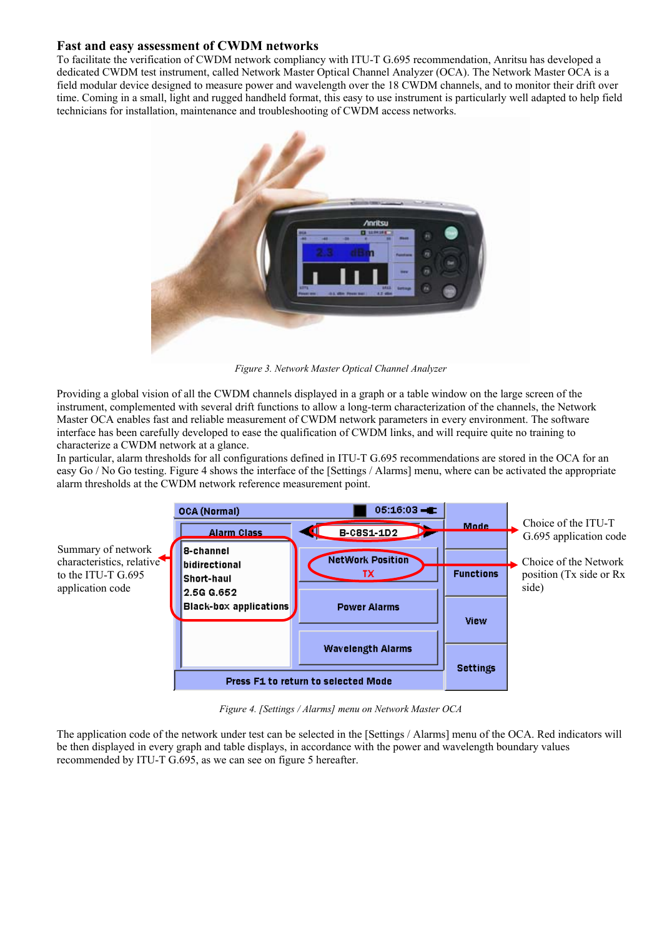## **Fast and easy assessment of CWDM networks**

To facilitate the verification of CWDM network compliancy with ITU-T G.695 recommendation, Anritsu has developed a dedicated CWDM test instrument, called Network Master Optical Channel Analyzer (OCA). The Network Master OCA is a field modular device designed to measure power and wavelength over the 18 CWDM channels, and to monitor their drift over time. Coming in a small, light and rugged handheld format, this easy to use instrument is particularly well adapted to help field technicians for installation, maintenance and troubleshooting of CWDM access networks.



*Figure 3. Network Master Optical Channel Analyzer* 

Providing a global vision of all the CWDM channels displayed in a graph or a table window on the large screen of the instrument, complemented with several drift functions to allow a long-term characterization of the channels, the Network Master OCA enables fast and reliable measurement of CWDM network parameters in every environment. The software interface has been carefully developed to ease the qualification of CWDM links, and will require quite no training to characterize a CWDM network at a glance.

In particular, alarm thresholds for all configurations defined in ITU-T G.695 recommendations are stored in the OCA for an easy Go / No Go testing. Figure 4 shows the interface of the [Settings / Alarms] menu, where can be activated the appropriate alarm thresholds at the CWDM network reference measurement point.



*Figure 4. [Settings / Alarms] menu on Network Master OCA* 

The application code of the network under test can be selected in the [Settings / Alarms] menu of the OCA. Red indicators will be then displayed in every graph and table displays, in accordance with the power and wavelength boundary values recommended by ITU-T G.695, as we can see on figure 5 hereafter.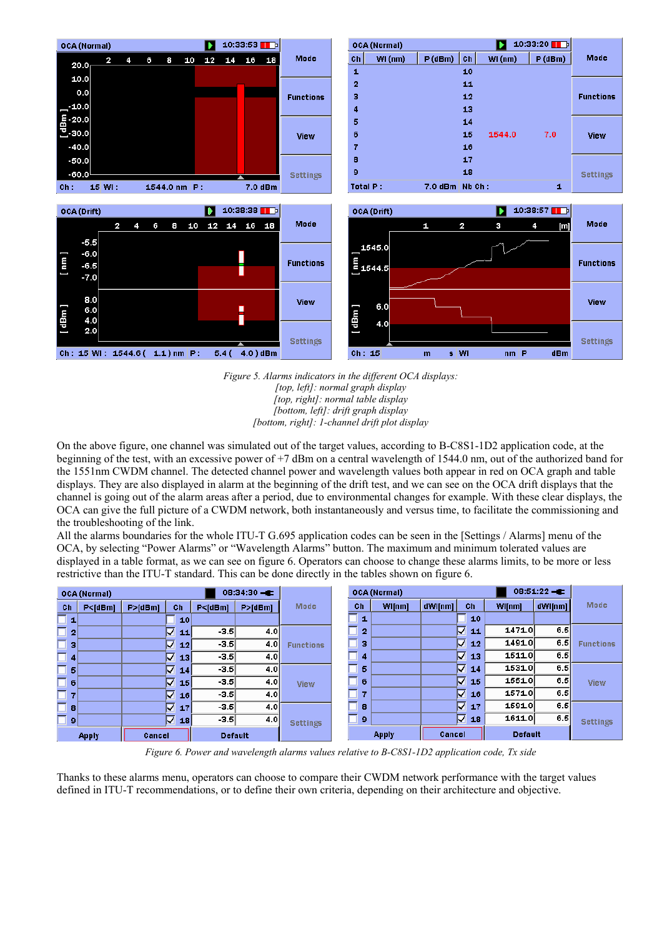

*Figure 5. Alarms indicators in the different OCA displays: [top, left]: normal graph display [top, right]: normal table display [bottom, left]: drift graph display [bottom, right]: 1-channel drift plot display* 

On the above figure, one channel was simulated out of the target values, according to B-C8S1-1D2 application code, at the beginning of the test, with an excessive power of  $+7$  dBm on a central wavelength of 1544.0 nm, out of the authorized band for the 1551nm CWDM channel. The detected channel power and wavelength values both appear in red on OCA graph and table displays. They are also displayed in alarm at the beginning of the drift test, and we can see on the OCA drift displays that the channel is going out of the alarm areas after a period, due to environmental changes for example. With these clear displays, the OCA can give the full picture of a CWDM network, both instantaneously and versus time, to facilitate the commissioning and the troubleshooting of the link.

All the alarms boundaries for the whole ITU-T G.695 application codes can be seen in the [Settings / Alarms] menu of the OCA, by selecting "Power Alarms" or "Wavelength Alarms" button. The maximum and minimum tolerated values are displayed in a table format, as we can see on figure 6. Operators can choose to change these alarms limits, to be more or less restrictive than the ITU-T standard. This can be done directly in the tables shown on figure 6.

| $08:34:30 - E$<br><b>OCA (Normal)</b> |              |           |        | <b>OCA (Normal)</b> |                |           |                  |    |                | $08:51:22 = 1$ |         |   |    |                |         |                  |        |     |             |
|---------------------------------------|--------------|-----------|--------|---------------------|----------------|-----------|------------------|----|----------------|----------------|---------|---|----|----------------|---------|------------------|--------|-----|-------------|
| Ch                                    | P < [dBm]    | P > [dBm] |        | Ch                  | P < [dBm]      | P > [dBm] | <b>Mode</b>      | Ch |                | WI[nm]         | dWl[nm] |   | Ch | WI[nm]         | dWl[nm] | <b>Mode</b>      |        |     |             |
|                                       |              |           |        | 10                  |                |           |                  |    | 1              |                |         |   | 10 |                |         |                  |        |     |             |
| $\overline{2}$                        |              |           | Ωľ     | 11                  | $-3.5$         | 4.0       |                  |    | $\overline{2}$ |                |         | ∇ | 11 | 1471.0         | 6.5     |                  |        |     |             |
| з                                     |              |           | Ω      | 12                  | $-3.5$         | 4.0       | <b>Functions</b> |    | з              |                |         | ☑ | 12 | 1491.0         | 6.5     | <b>Functions</b> |        |     |             |
| 4                                     |              |           | ⊽      | 13                  | $-3.5$         | 4.0       |                  |    | 4              |                |         | ☑ | 13 | 1511.0         | 6.5     |                  |        |     |             |
| 5                                     |              |           | ⊽      | 14                  | $-3.5$         | 4.0       |                  |    | 5              |                |         | ☑ | 14 | 1531.0         | 6.5     |                  |        |     |             |
| 6                                     |              |           | ⊽      | 15 <sup>1</sup>     | $-3.5$         | 4.0       | <b>View</b>      |    |                |                |         | 6 |    |                | ╔       | 15               | 1551.0 | 6.5 | <b>View</b> |
|                                       |              |           | ☑      | 16 <sup>1</sup>     | $-3.5$         | 4.0       |                  |    | 7              |                |         | ⊓ | 16 | 1571.0         | 6.5     |                  |        |     |             |
| 8                                     |              |           | ⊽      | 17                  | $-3.5$         | 4.0       |                  |    | 8              |                |         | ⊓ | 17 | 1591.0         | 6.5     |                  |        |     |             |
| $\overline{9}$                        |              |           |        | la ∏                | $-3.5$         | 4.0       | <b>Settings</b>  |    | 9              |                |         | ⊓ | 18 | 1611.0         | 6.5     | <b>Settings</b>  |        |     |             |
|                                       | <b>Apply</b> |           | Cancel |                     | <b>Default</b> |           |                  |    |                | <b>Apply</b>   | Cancel  |   |    | <b>Default</b> |         |                  |        |     |             |

*Figure 6. Power and wavelength alarms values relative to B-C8S1-1D2 application code, Tx side* 

Thanks to these alarms menu, operators can choose to compare their CWDM network performance with the target values defined in ITU-T recommendations, or to define their own criteria, depending on their architecture and objective.